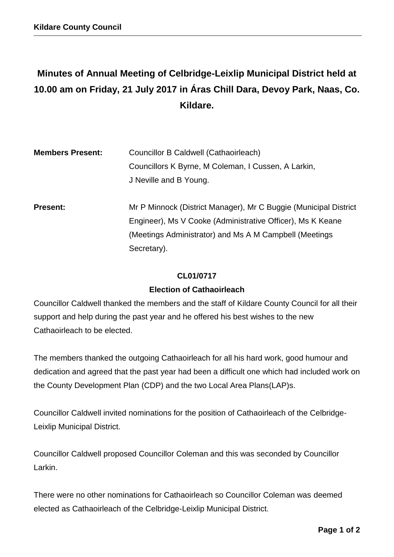# **Minutes of Annual Meeting of Celbridge-Leixlip Municipal District held at 10.00 am on Friday, 21 July 2017 in Áras Chill Dara, Devoy Park, Naas, Co. Kildare.**

| <b>Members Present:</b> | Councillor B Caldwell (Cathaoirleach)                            |
|-------------------------|------------------------------------------------------------------|
|                         | Councillors K Byrne, M Coleman, I Cussen, A Larkin,              |
|                         | J Neville and B Young.                                           |
|                         |                                                                  |
| <b>Present:</b>         | Mr P Minnock (District Manager), Mr C Buggie (Municipal District |
|                         | Engineer), Ms V Cooke (Administrative Officer), Ms K Keane       |
|                         | (Meetings Administrator) and Ms A M Campbell (Meetings           |
|                         | Secretary).                                                      |

#### **CL01/0717**

#### **Election of Cathaoirleach**

Councillor Caldwell thanked the members and the staff of Kildare County Council for all their support and help during the past year and he offered his best wishes to the new Cathaoirleach to be elected.

The members thanked the outgoing Cathaoirleach for all his hard work, good humour and dedication and agreed that the past year had been a difficult one which had included work on the County Development Plan (CDP) and the two Local Area Plans(LAP)s.

Councillor Caldwell invited nominations for the position of Cathaoirleach of the Celbridge-Leixlip Municipal District.

Councillor Caldwell proposed Councillor Coleman and this was seconded by Councillor Larkin.

There were no other nominations for Cathaoirleach so Councillor Coleman was deemed elected as Cathaoirleach of the Celbridge-Leixlip Municipal District.